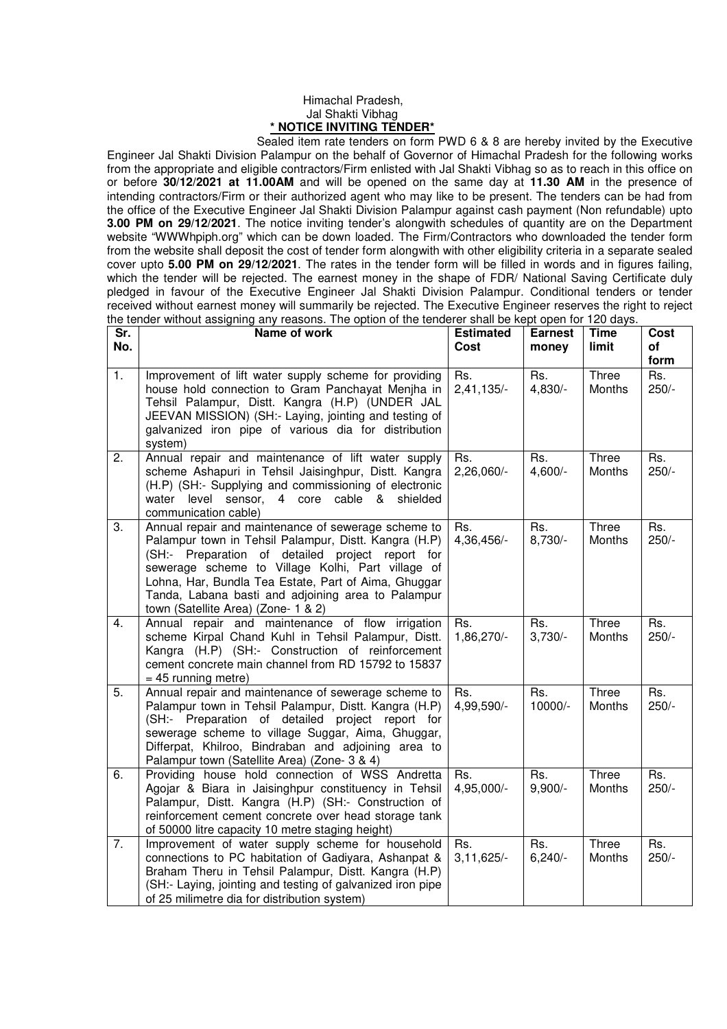## Himachal Pradesh, Jal Shakti Vibhag **\* NOTICE INVITING TENDER\***

 Sealed item rate tenders on form PWD 6 & 8 are hereby invited by the Executive Engineer Jal Shakti Division Palampur on the behalf of Governor of Himachal Pradesh for the following works from the appropriate and eligible contractors/Firm enlisted with Jal Shakti Vibhag so as to reach in this office on or before **30/12/2021 at 11.00AM** and will be opened on the same day at **11.30 AM** in the presence of intending contractors/Firm or their authorized agent who may like to be present. The tenders can be had from the office of the Executive Engineer Jal Shakti Division Palampur against cash payment (Non refundable) upto **3.00 PM on 29/12/2021**. The notice inviting tender's alongwith schedules of quantity are on the Department website "WWWhpiph.org" which can be down loaded. The Firm/Contractors who downloaded the tender form from the website shall deposit the cost of tender form alongwith with other eligibility criteria in a separate sealed cover upto **5.00 PM on 29/12/2021**. The rates in the tender form will be filled in words and in figures failing, which the tender will be rejected. The earnest money in the shape of FDR/ National Saving Certificate duly pledged in favour of the Executive Engineer Jal Shakti Division Palampur. Conditional tenders or tender received without earnest money will summarily be rejected. The Executive Engineer reserves the right to reject the tender without assigning any reasons. The option of the tenderer shall be kept open for 120 days.

| Sr. | no tonaoi without assigning any roasons. The option or the tonaoi'di shall be kept open for TEO aays.<br>Name of work                                                                                                                                                                                                                                                      | <b>Estimated</b>    | <b>Earnest</b>   | <b>Time</b>     | Cost           |
|-----|----------------------------------------------------------------------------------------------------------------------------------------------------------------------------------------------------------------------------------------------------------------------------------------------------------------------------------------------------------------------------|---------------------|------------------|-----------------|----------------|
| No. |                                                                                                                                                                                                                                                                                                                                                                            | Cost                | money            | limit           | of             |
|     |                                                                                                                                                                                                                                                                                                                                                                            |                     |                  |                 | form           |
| 1.  | Improvement of lift water supply scheme for providing<br>house hold connection to Gram Panchayat Menjha in<br>Tehsil Palampur, Distt. Kangra (H.P) (UNDER JAL<br>JEEVAN MISSION) (SH:- Laying, jointing and testing of<br>galvanized iron pipe of various dia for distribution<br>system)                                                                                  | Rs.<br>$2,41,135/-$ | Rs.<br>$4,830/-$ | Three<br>Months | Rs.<br>$250/-$ |
| 2.  | Annual repair and maintenance of lift water supply<br>scheme Ashapuri in Tehsil Jaisinghpur, Distt. Kangra<br>(H.P) (SH:- Supplying and commissioning of electronic<br>water level sensor, 4 core cable & shielded<br>communication cable)                                                                                                                                 | Rs.<br>2,26,060/-   | Rs.<br>$4,600/-$ | Three<br>Months | Rs.<br>$250/-$ |
| 3.  | Annual repair and maintenance of sewerage scheme to<br>Palampur town in Tehsil Palampur, Distt. Kangra (H.P)<br>(SH:- Preparation of detailed project report for<br>sewerage scheme to Village Kolhi, Part village of<br>Lohna, Har, Bundla Tea Estate, Part of Aima, Ghuggar<br>Tanda, Labana basti and adjoining area to Palampur<br>town (Satellite Area) (Zone- 1 & 2) | Rs.<br>4,36,456/-   | Rs.<br>$8,730/-$ | Three<br>Months | Rs.<br>$250/-$ |
| 4.  | Annual repair and maintenance of flow irrigation<br>scheme Kirpal Chand Kuhl in Tehsil Palampur, Distt.<br>Kangra (H.P) (SH:- Construction of reinforcement<br>cement concrete main channel from RD 15792 to 15837<br>$= 45$ running metre)                                                                                                                                | Rs.<br>1,86,270/-   | Rs.<br>$3,730/-$ | Three<br>Months | Rs.<br>$250/-$ |
| 5.  | Annual repair and maintenance of sewerage scheme to<br>Palampur town in Tehsil Palampur, Distt. Kangra (H.P)<br>(SH:- Preparation of detailed project report for<br>sewerage scheme to village Suggar, Aima, Ghuggar,<br>Differpat, Khilroo, Bindraban and adjoining area to<br>Palampur town (Satellite Area) (Zone- 3 & 4)                                               | Rs.<br>4,99,590/-   | Rs.<br>10000/-   | Three<br>Months | Rs.<br>$250/-$ |
| 6.  | Providing house hold connection of WSS Andretta<br>Agojar & Biara in Jaisinghpur constituency in Tehsil<br>Palampur, Distt. Kangra (H.P) (SH:- Construction of<br>reinforcement cement concrete over head storage tank<br>of 50000 litre capacity 10 metre staging height)                                                                                                 | Rs.<br>4,95,000/-   | Rs.<br>$9,900/-$ | Three<br>Months | Rs.<br>$250/-$ |
| 7.  | Improvement of water supply scheme for household<br>connections to PC habitation of Gadiyara, Ashanpat &<br>Braham Theru in Tehsil Palampur, Distt. Kangra (H.P)<br>(SH:- Laying, jointing and testing of galvanized iron pipe<br>of 25 milimetre dia for distribution system)                                                                                             | Rs.<br>$3,11,625/-$ | Rs.<br>$6,240/-$ | Three<br>Months | Rs.<br>$250/-$ |